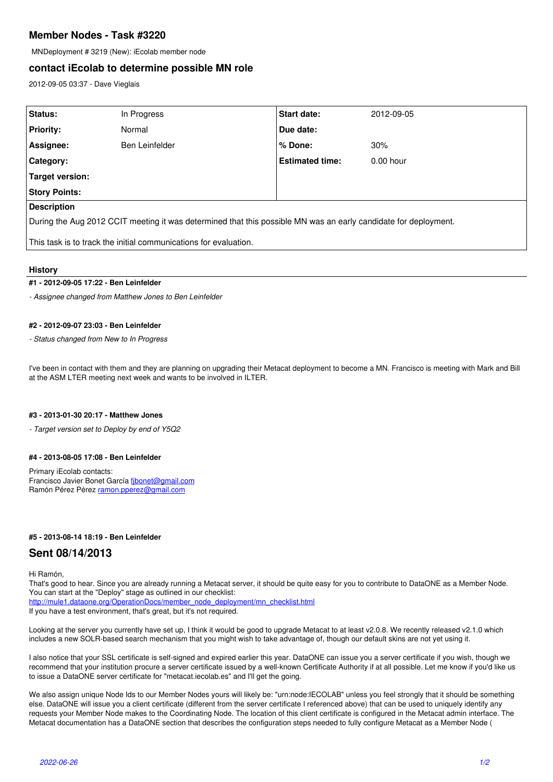# **Member Nodes - Task #3220**

MNDeployment # 3219 (New): iEcolab member node

### **contact iEcolab to determine possible MN role**

2012-09-05 03:37 - Dave Vieglais

| Status:                                                                                                         | In Progress    | <b>Start date:</b>     | 2012-09-05  |
|-----------------------------------------------------------------------------------------------------------------|----------------|------------------------|-------------|
| <b>Priority:</b>                                                                                                | Normal         | Due date:              |             |
| Assignee:                                                                                                       | Ben Leinfelder | l % Done:              | 30%         |
| Category:                                                                                                       |                | <b>Estimated time:</b> | $0.00$ hour |
| Target version:                                                                                                 |                |                        |             |
| <b>Story Points:</b>                                                                                            |                |                        |             |
| <b>Description</b>                                                                                              |                |                        |             |
| During the Aug 2012 CCIT meeting it was determined that this possible MN was an early candidate for deployment. |                |                        |             |
| This task is to track the initial communications for evaluation.                                                |                |                        |             |

#### **History**

### **#1 - 2012-09-05 17:22 - Ben Leinfelder**

*- Assignee changed from Matthew Jones to Ben Leinfelder*

#### **#2 - 2012-09-07 23:03 - Ben Leinfelder**

*- Status changed from New to In Progress*

I've been in contact with them and they are planning on upgrading their Metacat deployment to become a MN. Francisco is meeting with Mark and Bill at the ASM LTER meeting next week and wants to be involved in ILTER.

#### **#3 - 2013-01-30 20:17 - Matthew Jones**

*- Target version set to Deploy by end of Y5Q2*

### **#4 - 2013-08-05 17:08 - Ben Leinfelder**

Primary iEcolab contacts: Francisco Javier Bonet García [fjbonet@gmail.com](mailto:fjbonet@gmail.com) Ramón Pérez Pérez [ramon.pperez@gmail.com](mailto:ramon.pperez@gmail.com)

#### **#5 - 2013-08-14 18:19 - Ben Leinfelder**

### **Sent 08/14/2013**

Hi Ramón,

That's good to hear. Since you are already running a Metacat server, it should be quite easy for you to contribute to DataONE as a Member Node. You can start at the "Deploy" stage as outlined in our checklist:

[http://mule1.dataone.org/OperationDocs/member\\_node\\_deployment/mn\\_checklist.html](http://mule1.dataone.org/OperationDocs/member_node_deployment/mn_checklist.html) If you have a test environment, that's great, but it's not required.

Looking at the server you currently have set up, I think it would be good to upgrade Metacat to at least v2.0.8. We recently released v2.1.0 which includes a new SOLR-based search mechanism that you might wish to take advantage of, though our default skins are not yet using it.

I also notice that your SSL certificate is self-signed and expired earlier this year. DataONE can issue you a server certificate if you wish, though we recommend that your institution procure a server certificate issued by a well-known Certificate Authority if at all possible. Let me know if you'd like us to issue a DataONE server certificate for "metacat.iecolab.es" and I'll get the going.

We also assign unique Node Ids to our Member Nodes yours will likely be: "urn:node:IECOLAB" unless you feel strongly that it should be something else. DataONE will issue you a client certificate (different from the server certificate I referenced above) that can be used to uniquely identify any requests your Member Node makes to the Coordinating Node. The location of this client certificate is configured in the Metacat admin interface. The Metacat documentation has a DataONE section that describes the configuration steps needed to fully configure Metacat as a Member Node (